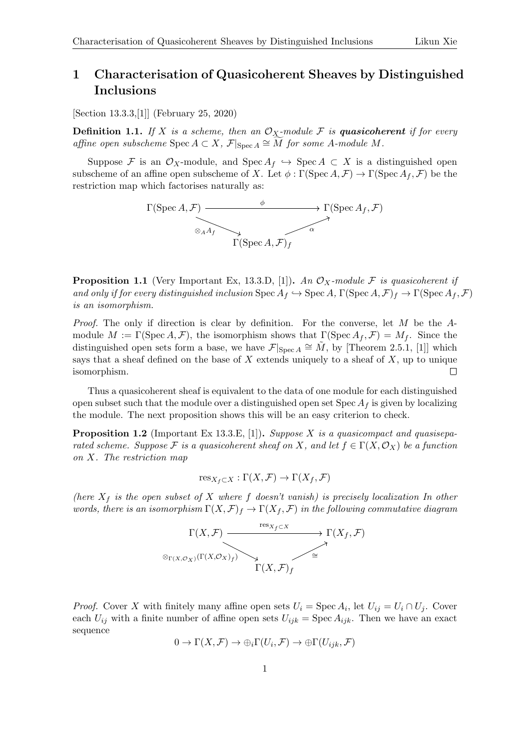## 1 Characterisation of Quasicoherent Sheaves by Distinguished Inclusions

[Section 13.3.3,[\[1\]](#page-2-0)] (February 25, 2020)

**Definition 1.1.** If X is a scheme, then an  $\mathcal{O}_X$ -module F is quasicoherent if for every affine open subscheme  $\text{Spec } A \subset X$ ,  $\mathcal{F}|_{\text{Spec } A} \cong \widetilde{M}$  for some A-module M.

Suppose F is an  $\mathcal{O}_X$ -module, and Spec  $A_f \hookrightarrow$  Spec  $A \subset X$  is a distinguished open subscheme of an affine open subscheme of X. Let  $\phi : \Gamma(\operatorname{Spec} A, \mathcal{F}) \to \Gamma(\operatorname{Spec} A_f, \mathcal{F})$  be the restriction map which factorises naturally as:



<span id="page-0-0"></span>**Proposition 1.1** (Very Important Ex, 13.3.D, [\[1\]](#page-2-0)). An  $\mathcal{O}_X$ -module F is quasicoherent if and only if for every distinguished inclusion  $\operatorname{Spec} A_f \hookrightarrow \operatorname{Spec} A$ ,  $\Gamma(\operatorname{Spec} A, \mathcal{F})_f \to \Gamma(\operatorname{Spec} A_f, \mathcal{F})$ is an isomorphism.

*Proof.* The only if direction is clear by definition. For the converse, let  $M$  be the  $A$ module  $M := \Gamma(\text{Spec } A, \mathcal{F})$ , the isomorphism shows that  $\Gamma(\text{Spec } A_f, \mathcal{F}) = M_f$ . Since the distinguished open sets form a base, we have  $\mathcal{F}|_{\text{Spec } A} \cong \tilde{M}$ , by [Theorem 2.5.1, [\[1\]](#page-2-0)] which says that a sheaf defined on the base of  $X$  extends uniquely to a sheaf of  $X$ , up to unique isomorphism. П

Thus a quasicoherent sheaf is equivalent to the data of one module for each distinguished open subset such that the module over a distinguished open set  $Spec A_f$  is given by localizing the module. The next proposition shows this will be an easy criterion to check.

**Proposition 1.2** (Important Ex 13.3.E, [\[1\]](#page-2-0)). Suppose X is a quasicompact and quasiseparated scheme. Suppose F is a quasicoherent sheaf on X, and let  $f \in \Gamma(X, \mathcal{O}_X)$  be a function on X. The restriction map

$$
\text{res}_{X_f \subset X} : \Gamma(X, \mathcal{F}) \to \Gamma(X_f, \mathcal{F})
$$

(here  $X_f$  is the open subset of X where f doesn't vanish) is precisely localization In other words, there is an isomorphism  $\Gamma(X, \mathcal{F})_f \to \Gamma(X_f, \mathcal{F})$  in the following commutative diagram



*Proof.* Cover X with finitely many affine open sets  $U_i = \text{Spec } A_i$ , let  $U_{ij} = U_i \cap U_j$ . Cover each  $U_{ij}$  with a finite number of affine open sets  $U_{ijk} = \text{Spec } A_{ijk}$ . Then we have an exact sequence

$$
0 \to \Gamma(X, \mathcal{F}) \to \bigoplus_i \Gamma(U_i, \mathcal{F}) \to \bigoplus \Gamma(U_{ijk}, \mathcal{F})
$$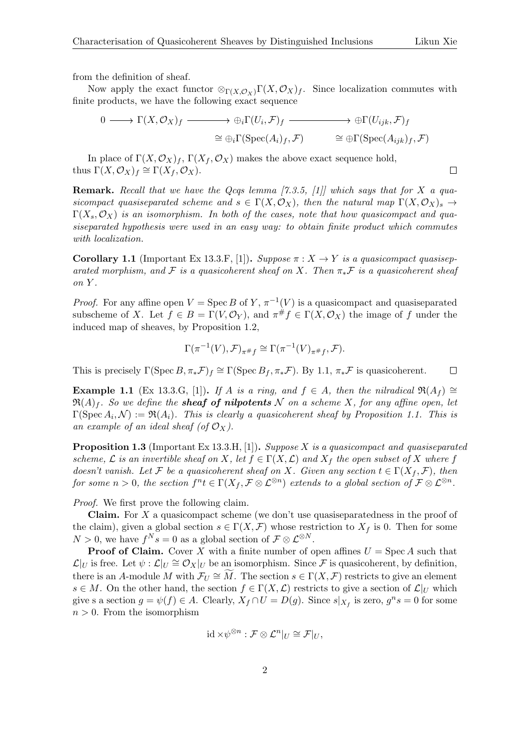$\Box$ 

from the definition of sheaf.

Now apply the exact functor  $\otimes_{\Gamma(X,{\mathcal O}_X)}\Gamma(X,{\mathcal O}_X)f$ . Since localization commutes with finite products, we have the following exact sequence

$$
0 \longrightarrow \Gamma(X, \mathcal{O}_X)_f \longrightarrow \bigoplus_i \Gamma(U_i, \mathcal{F})_f \longrightarrow \bigoplus_i \Gamma(U_{ijk}, \mathcal{F})_f
$$
  

$$
\cong \bigoplus_i \Gamma(\text{Spec}(A_i)_f, \mathcal{F}) \qquad \cong \bigoplus \Gamma(\text{Spec}(A_{ijk})_f, \mathcal{F})
$$

In place of  $\Gamma(X, \mathcal{O}_X)_f$ ,  $\Gamma(X_f, \mathcal{O}_X)$  makes the above exact sequence hold, thus  $\Gamma(X, \mathcal{O}_X)_f \cong \Gamma(X_f, \mathcal{O}_X)$ .

**Remark.** Recall that we have the Qcqs lemma  $[7.3.5, 11]$  which says that for X a quasicompact quasiseparated scheme and  $s \in \Gamma(X, \mathcal{O}_X)$ , then the natural map  $\Gamma(X, \mathcal{O}_X)$ ,  $\rightarrow$  $\Gamma(X_s, \mathcal{O}_X)$  is an isomorphism. In both of the cases, note that how quasicompact and quasiseparated hypothesis were used in an easy way: to obtain finite product which commutes with localization.

Corollary 1.1 (Important Ex 13.3.F, [\[1\]](#page-2-0)). Suppose  $\pi : X \to Y$  is a quasicompact quasiseparated morphism, and F is a quasicoherent sheaf on X. Then  $\pi_*\mathcal{F}$  is a quasicoherent sheaf on Y .

*Proof.* For any affine open  $V = \text{Spec } B$  of Y,  $\pi^{-1}(V)$  is a quasicompact and quasiseparated subscheme of X. Let  $f \in B = \Gamma(V, \mathcal{O}_Y)$ , and  $\pi^{\#} f \in \Gamma(X, \mathcal{O}_X)$  the image of f under the induced map of sheaves, by Proposition 1.2,

$$
\Gamma(\pi^{-1}(V), \mathcal{F})_{\pi \# f} \cong \Gamma(\pi^{-1}(V)_{\pi \# f}, \mathcal{F}).
$$

This is precisely  $\Gamma(\text{Spec }B, \pi_*\mathcal{F})_f \cong \Gamma(\text{Spec }B_f, \pi_*\mathcal{F})$ . By [1.1,](#page-0-0)  $\pi_*\mathcal{F}$  is quasicoherent.  $\Box$ 

Example 1.1 (Ex 13.3.G, [\[1\]](#page-2-0)). If A is a ring, and  $f \in A$ , then the nilradical  $\Re(A_f) \cong$  $\mathfrak{R}(A)_f$ . So we define the **sheaf of nilpotents** N on a scheme X, for any affine open, let  $\Gamma(\text{Spec } A_i, \mathcal{N}) := \Re(A_i)$ . This is clearly a quasicoherent sheaf by Proposition [1.1.](#page-0-0) This is an example of an ideal sheaf (of  $\mathcal{O}_X$ ).

Proposition 1.3 (Important Ex 13.3.H, [\[1\]](#page-2-0)). Suppose X is a quasicompact and quasiseparated scheme,  $\mathcal L$  is an invertible sheaf on X, let  $f \in \Gamma(X, \mathcal L)$  and  $X_f$  the open subset of X where f doesn't vanish. Let F be a quasicoherent sheaf on X. Given any section  $t \in \Gamma(X_f, \mathcal{F})$ , then for some  $n>0,$  the section  $f^nt \in \Gamma(X_f, \mathcal{F} \otimes \mathcal{L}^{\otimes n})$  extends to a global section of  $\mathcal{F} \otimes \mathcal{L}^{\otimes n}$ .

Proof. We first prove the following claim.

**Claim.** For  $X$  a quasicompact scheme (we don't use quasiseparatedness in the proof of the claim), given a global section  $s \in \Gamma(X, \mathcal{F})$  whose restriction to  $X_f$  is 0. Then for some  $N > 0$ , we have  $f^N s = 0$  as a global section of  $\mathcal{F} \otimes \mathcal{L}^{\otimes N}$ .

**Proof of Claim.** Cover X with a finite number of open affines  $U = \text{Spec } A$  such that  $\mathcal{L}|_U$  is free. Let  $\psi: \mathcal{L}|_U \cong \mathcal{O}_X|_U$  be an isomorphism. Since  $\mathcal F$  is quasicoherent, by definition, there is an A-module M with  $\mathcal{F}_U \cong \widetilde{M}$ . The section  $s \in \Gamma(X, \mathcal{F})$  restricts to give an element  $s \in M$ . On the other hand, the section  $f \in \Gamma(X, \mathcal{L})$  restricts to give a section of  $\mathcal{L}|_U$  which give s a section  $g = \psi(f) \in A$ . Clearly,  $X_f \cap U = D(g)$ . Since  $s|_{X_f}$  is zero,  $g^n s = 0$  for some  $n > 0$ . From the isomorphism

$$
\mathrm{id} \times \psi^{\otimes n} : \mathcal{F} \otimes \mathcal{L}^n|_U \cong \mathcal{F}|_U,
$$